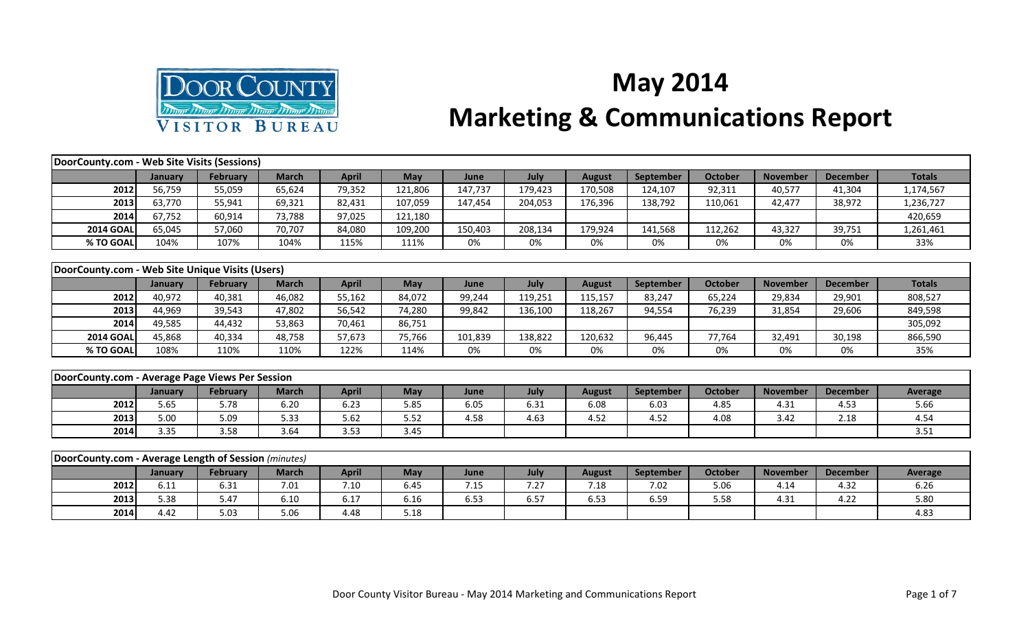

## **May 2014 Marketing & Communications Report**

| DoorCounty.com - Web Site Visits (Sessions)          |         |                 |              |              |            |         |             |               |                  |                |                 |                 |               |
|------------------------------------------------------|---------|-----------------|--------------|--------------|------------|---------|-------------|---------------|------------------|----------------|-----------------|-----------------|---------------|
|                                                      | January | <b>February</b> | <b>March</b> | <b>April</b> | <b>May</b> | June    | <b>July</b> | <b>August</b> | <b>September</b> | <b>October</b> | <b>November</b> | <b>December</b> | <b>Totals</b> |
| 2012                                                 | 56,759  | 55,059          | 65,624       | 79,352       | 121,806    | 147,737 | 179,423     | 170,508       | 124,107          | 92,311         | 40,577          | 41,304          | 1,174,567     |
| 2013                                                 | 63,770  | 55,941          | 69,321       | 82,431       | 107,059    | 147,454 | 204,053     | 176,396       | 138,792          | 110,061        | 42,477          | 38,972          | 1,236,727     |
| 2014                                                 | 67,752  | 60,914          | 73,788       | 97,025       | 121,180    |         |             |               |                  |                |                 |                 | 420,659       |
| <b>2014 GOAL</b>                                     | 65,045  | 57,060          | 70,707       | 84,080       | 109,200    | 150,403 | 208,134     | 179,924       | 141,568          | 112,262        | 43,327          | 39,751          | 1,261,461     |
| % TO GOAL                                            | 104%    | 107%            | 104%         | 115%         | 111%       | 0%      | 0%          | 0%            | 0%               | 0%             | 0%              | 0%              | 33%           |
|                                                      |         |                 |              |              |            |         |             |               |                  |                |                 |                 |               |
| DoorCounty.com - Web Site Unique Visits (Users)      |         |                 |              |              |            |         |             |               |                  |                |                 |                 |               |
|                                                      | January | <b>February</b> | <b>March</b> | <b>April</b> | <b>May</b> | June    | July        | <b>August</b> | <b>September</b> | <b>October</b> | <b>November</b> | <b>December</b> | <b>Totals</b> |
| 2012                                                 | 40,972  | 40,381          | 46,082       | 55,162       | 84,072     | 99,244  | 119,251     | 115,157       | 83,247           | 65,224         | 29,834          | 29,901          | 808,527       |
| 2013                                                 | 44,969  | 39,543          | 47,802       | 56,542       | 74,280     | 99,842  | 136,100     | 118,267       | 94,554           | 76,239         | 31,854          | 29,606          | 849,598       |
| 2014                                                 | 49,585  | 44,432          | 53,863       | 70,461       | 86,751     |         |             |               |                  |                |                 |                 | 305,092       |
| <b>2014 GOAL</b>                                     | 45,868  | 40,334          | 48,758       | 57,673       | 75,766     | 101,839 | 138,822     | 120,632       | 96,445           | 77,764         | 32,491          | 30,198          | 866,590       |
| % TO GOAL                                            | 108%    | 110%            | 110%         | 122%         | 114%       | 0%      | 0%          | 0%            | 0%               | 0%             | 0%              | 0%              | 35%           |
|                                                      |         |                 |              |              |            |         |             |               |                  |                |                 |                 |               |
| DoorCounty.com - Average Page Views Per Session      |         |                 |              |              |            |         |             |               |                  |                |                 |                 |               |
|                                                      | January | <b>February</b> | <b>March</b> | <b>April</b> | <b>May</b> | June    | July        | <b>August</b> | <b>September</b> | <b>October</b> | <b>November</b> | <b>December</b> | Average       |
| 2012                                                 | 5.65    | 5.78            | 6.20         | 6.23         | 5.85       | 6.05    | 6.31        | 6.08          | 6.03             | 4.85           | 4.31            | 4.53            | 5.66          |
| 2013                                                 | 5.00    | 5.09            | 5.33         | 5.62         | 5.52       | 4.58    | 4.63        | 4.52          | 4.52             | 4.08           | 3.42            | 2.18            | 4.54          |
| 2014                                                 | 3.35    | 3.58            | 3.64         | 3.53         | 3.45       |         |             |               |                  |                |                 |                 | 3.51          |
|                                                      |         |                 |              |              |            |         |             |               |                  |                |                 |                 |               |
| DoorCounty.com - Average Length of Session (minutes) |         |                 |              |              |            |         |             |               |                  |                |                 |                 |               |
|                                                      | January | <b>February</b> | <b>March</b> | <b>April</b> | May        | June    | July        | <b>August</b> | <b>September</b> | <b>October</b> | <b>November</b> | <b>December</b> | Average       |
| 2012                                                 | 6.11    | 6.31            | 7.01         | 7.10         | 6.45       | 7.15    | 7.27        | 7.18          | 7.02             | 5.06           | 4.14            | 4.32            | 6.26          |
| 2013                                                 | 5.38    | 5.47            | 6.10         | 6.17         | 6.16       | 6.53    | 6.57        | 6.53          | 6.59             | 5.58           | 4.31            | 4.22            | 5.80          |

**2014** 4.42 5.03 5.06 4.48 5.18 4.83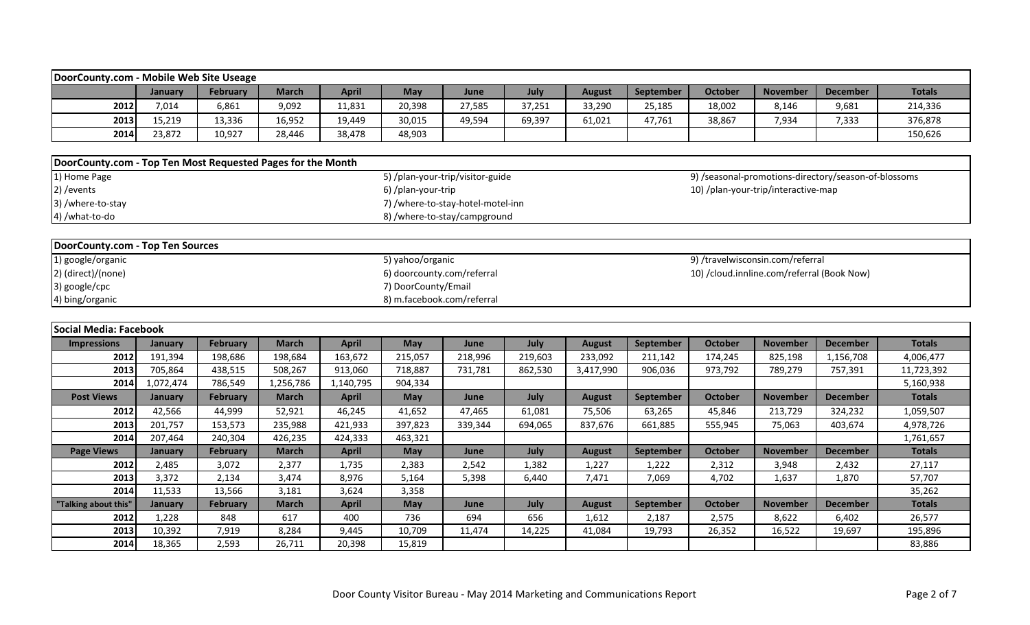| DoorCounty.com - Mobile Web Site Useage                     |           |                 |              |              |                            |                                   |         |               |           |                |                                            |                                                      |               |
|-------------------------------------------------------------|-----------|-----------------|--------------|--------------|----------------------------|-----------------------------------|---------|---------------|-----------|----------------|--------------------------------------------|------------------------------------------------------|---------------|
|                                                             | January   | February        | <b>March</b> | <b>April</b> | May                        | June                              | July    | <b>August</b> | September | October        | <b>November</b>                            | <b>December</b>                                      | <b>Totals</b> |
| 2012                                                        | 7,014     | 6,861           | 9,092        | 11,831       | 20,398                     | 27,585                            | 37,251  | 33,290        | 25,185    | 18,002         | 8,146                                      | 9,681                                                | 214,336       |
| 2013                                                        | 15,219    | 13,336          | 16,952       | 19,449       | 30,015                     | 49,594                            | 69,397  | 61,021        | 47,761    | 38,867         | 7,934                                      | 7,333                                                | 376,878       |
| 2014                                                        | 23,872    | 10,927          | 28,446       | 38,478       | 48,903                     |                                   |         |               |           |                |                                            |                                                      | 150,626       |
| DoorCounty.com - Top Ten Most Requested Pages for the Month |           |                 |              |              |                            |                                   |         |               |           |                |                                            |                                                      |               |
| $\overline{1}$ Home Page                                    |           |                 |              |              |                            | 5) /plan-your-trip/visitor-guide  |         |               |           |                |                                            | 9) /seasonal-promotions-directory/season-of-blossoms |               |
| 2) / events                                                 |           |                 |              |              | 6) /plan-your-trip         |                                   |         |               |           |                | 10) /plan-your-trip/interactive-map        |                                                      |               |
| 3) /where-to-stay                                           |           |                 |              |              |                            | 7) /where-to-stay-hotel-motel-inn |         |               |           |                |                                            |                                                      |               |
| 4) /what-to-do                                              |           |                 |              |              |                            | 8) /where-to-stay/campground      |         |               |           |                |                                            |                                                      |               |
|                                                             |           |                 |              |              |                            |                                   |         |               |           |                |                                            |                                                      |               |
| DoorCounty.com - Top Ten Sources                            |           |                 |              |              |                            |                                   |         |               |           |                |                                            |                                                      |               |
| 1) google/organic                                           |           |                 |              |              | 5) yahoo/organic           |                                   |         |               |           |                | 9) /travelwisconsin.com/referral           |                                                      |               |
| 2) (direct)/(none)                                          |           |                 |              |              | 6) doorcounty.com/referral |                                   |         |               |           |                | 10) /cloud.innline.com/referral (Book Now) |                                                      |               |
| 3) google/cpc                                               |           |                 |              |              | 7) DoorCounty/Email        |                                   |         |               |           |                |                                            |                                                      |               |
| 4) bing/organic                                             |           |                 |              |              | 8) m.facebook.com/referral |                                   |         |               |           |                |                                            |                                                      |               |
|                                                             |           |                 |              |              |                            |                                   |         |               |           |                |                                            |                                                      |               |
| Social Media: Facebook                                      |           |                 |              |              |                            |                                   |         |               |           |                |                                            |                                                      |               |
| <b>Impressions</b>                                          | January   | <b>February</b> | <b>March</b> | <b>April</b> | May                        | June                              | July    | <b>August</b> | September | <b>October</b> | <b>November</b>                            | <b>December</b>                                      | <b>Totals</b> |
| 2012                                                        | 191,394   | 198,686         | 198,684      | 163,672      | 215,057                    | 218,996                           | 219,603 | 233,092       | 211,142   | 174,245        | 825,198                                    | 1,156,708                                            | 4,006,477     |
| 2013                                                        | 705,864   | 438,515         | 508,267      | 913,060      | 718,887                    | 731,781                           | 862,530 | 3,417,990     | 906,036   | 973,792        | 789,279                                    | 757,391                                              | 11,723,392    |
| 2014                                                        | 1,072,474 | 786,549         | 1,256,786    | 1,140,795    | 904,334                    |                                   |         |               |           |                |                                            |                                                      | 5,160,938     |
| <b>Post Views</b>                                           | January   | February        | <b>March</b> | <b>April</b> | May                        | June                              | July    | <b>August</b> | September | <b>October</b> | <b>November</b>                            | <b>December</b>                                      | <b>Totals</b> |
| 2012                                                        | 42,566    | 44,999          | 52,921       | 46,245       | 41,652                     | 47,465                            | 61,081  | 75,506        | 63,265    | 45,846         | 213,729                                    | 324,232                                              | 1,059,507     |
| 2013                                                        | 201,757   | 153,573         | 235,988      | 421,933      | 397,823                    | 339,344                           | 694,065 | 837,676       | 661,885   | 555,945        | 75,063                                     | 403,674                                              | 4,978,726     |
| 2014                                                        | 207,464   | 240,304         | 426,235      | 424,333      | 463,321                    |                                   |         |               |           |                |                                            |                                                      | 1,761,657     |
| <b>Page Views</b>                                           | January   | February        | <b>March</b> | <b>April</b> | <b>May</b>                 | June                              | July    | <b>August</b> | September | <b>October</b> | <b>November</b>                            | <b>December</b>                                      | <b>Totals</b> |
| 2012                                                        | 2,485     | 3,072           | 2,377        | 1,735        | 2,383                      | 2,542                             | 1,382   | 1,227         | 1,222     | 2,312          | 3,948                                      | 2,432                                                | 27,117        |
| 2013                                                        | 3,372     | 2,134           | 3,474        | 8,976        | 5,164                      | 5,398                             | 6,440   | 7,471         | 7,069     | 4,702          | 1,637                                      | 1,870                                                | 57,707        |
| 2014                                                        | 11,533    | 13,566          | 3,181        | 3,624        | 3,358                      |                                   |         |               |           |                |                                            |                                                      | 35,262        |
| "Talking about this'                                        | January   | <b>February</b> | <b>March</b> | <b>April</b> | May                        | June                              | July    | <b>August</b> | September | <b>October</b> | <b>November</b>                            | <b>December</b>                                      | <b>Totals</b> |
| 2012                                                        | 1,228     | 848             | 617          | 400          | 736                        | 694                               | 656     | 1,612         | 2,187     | 2,575          | 8,622                                      | 6,402                                                | 26,577        |
| 2013                                                        | 10,392    | 7,919           | 8,284        | 9,445        | 10,709                     | 11,474                            | 14,225  | 41,084        | 19,793    | 26,352         | 16,522                                     | 19,697                                               | 195,896       |
| 2014                                                        | 18,365    | 2,593           | 26,711       | 20,398       | 15,819                     |                                   |         |               |           |                |                                            |                                                      | 83,886        |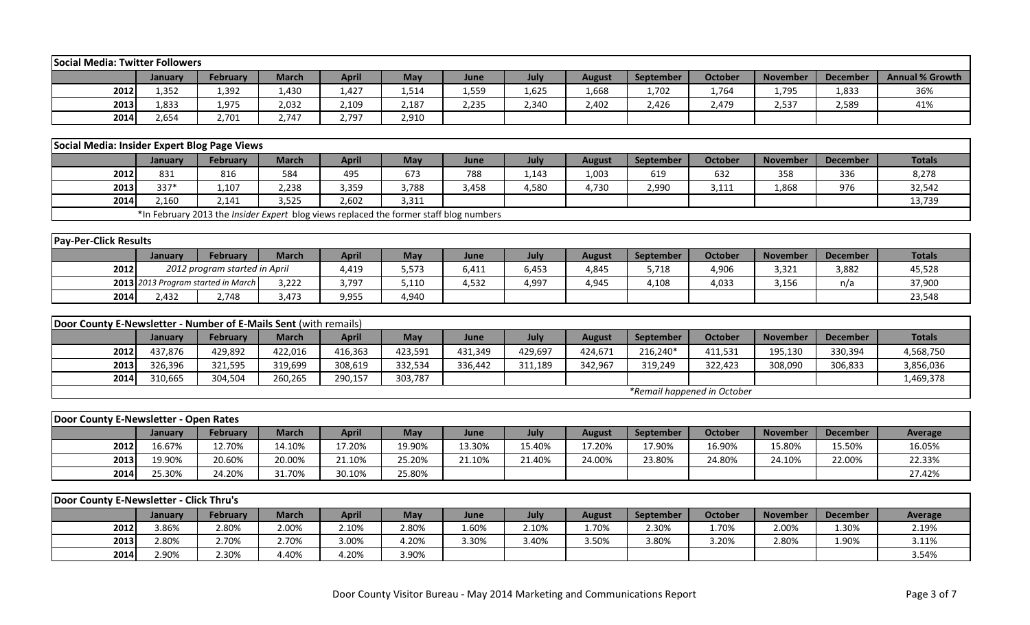| February<br><b>Annual % Growth</b><br><b>March</b><br><b>April</b><br>May<br>July<br>September<br><b>October</b><br><b>November</b><br><b>December</b><br>January<br>June<br><b>August</b><br>2012<br>1,352<br>1,430<br>1,427<br>1,514<br>1,559<br>1,625<br>1,795<br>36%<br>1,392<br>1,668<br>1,702<br>1,764<br>1,833<br>2013<br>1,833<br>2,032<br>2,187<br>2,340<br>2,426<br>41%<br>1,975<br>2,109<br>2,235<br>2,402<br>2,479<br>2,537<br>2,589<br>2014<br>2,654<br>2,747<br>2,797<br>2,910<br>2,701<br>Social Media: Insider Expert Blog Page Views<br><b>March</b><br>July<br><b>February</b><br><b>April</b><br>May<br>June<br><b>August</b><br>September<br><b>October</b><br><b>November</b><br><b>December</b><br><b>Totals</b><br><b>January</b><br>2012<br>584<br>831<br>816<br>495<br>673<br>788<br>1,143<br>1,003<br>619<br>632<br>358<br>336<br>8,278<br>337*<br>3,788<br>2013<br>1,107<br>2,238<br>3,359<br>3,458<br>4,580<br>2,990<br>3,111<br>1,868<br>976<br>32,542<br>4,730<br>13,739<br>2014<br>2,160<br>2,141<br>3,525<br>2,602<br>3,311<br>*In February 2013 the <i>Insider Expert</i> blog views replaced the former staff blog numbers<br><b>Pay-Per-Click Results</b><br>February<br><b>March</b><br><b>April</b><br>May<br>July<br><b>November</b><br><b>December</b><br><b>Totals</b><br>January<br>June<br>September<br><b>October</b><br><b>August</b><br>2012 program started in April<br>45,528<br>2012<br>5,573<br>6,453<br>5,718<br>4,906<br>3,321<br>4,419<br>6,411<br>4,845<br>3,882<br>2013 2013 Program started in March<br>3,222<br>3,797<br>5,110<br>4,532<br>4,997<br>4,945<br>4,108<br>4,033<br>3,156<br>n/a<br>37,900<br>2014<br>2,748<br>3,473<br>4,940<br>23,548<br>2,432<br>9,955<br>Door County E-Newsletter - Number of E-Mails Sent (with remails)<br>July<br><b>Totals</b><br><b>April</b><br>May<br>June<br><b>October</b><br><b>November</b><br><b>February</b><br><b>March</b><br><b>August</b><br>September<br><b>December</b><br><b>January</b><br>2012<br>216,240*<br>437,876<br>429,892<br>422,016<br>416,363<br>423,591<br>431,349<br>429,697<br>424,671<br>195,130<br>330,394<br>411,531<br>4,568,750<br>3,856,036<br>2013<br>326,396<br>321,595<br>319,699<br>308,619<br>332,534<br>319,249<br>322,423<br>336,442<br>311,189<br>342,967<br>308,090<br>306,833<br>2014<br>310,665<br>304,504<br>260,265<br>290,157<br>303,787<br>1,469,378<br>*Remail happened in October<br>Door County E-Newsletter - Open Rates<br>July<br><b>March</b><br><b>April</b><br>May<br>February<br>June<br><b>August</b><br>September<br>October<br><b>November</b><br><b>December</b><br><b>Average</b><br>January<br>2012<br>16.67%<br>12.70%<br>14.10%<br>17.20%<br>19.90%<br>13.30%<br>15.40%<br>17.20%<br>17.90%<br>16.90%<br>15.80%<br>15.50%<br>16.05%<br>19.90%<br>20.60%<br>20.00%<br>25.20%<br>22.33%<br>2013<br>21.10%<br>21.10%<br>21.40%<br>24.00%<br>23.80%<br>24.80%<br>24.10%<br>22.00%<br>2014<br>25.30%<br>24.20%<br>31.70%<br>30.10%<br>25.80%<br>27.42%<br>Door County E-Newsletter - Click Thru's<br><b>March</b><br><b>April</b><br>May<br>July<br>February<br>June<br><b>August</b><br>September<br><b>October</b><br><b>November</b><br><b>December</b><br>January<br><b>Average</b><br>2.00%<br>2.80%<br>2.10%<br>2012<br>3.86%<br>2.80%<br>2.10%<br>1.60%<br>1.70%<br>2.30%<br>1.70%<br>2.00%<br>1.30%<br>2.19%<br>2013<br>2.80%<br>2.70%<br>2.70%<br>3.00%<br>4.20%<br>3.40%<br>3.50%<br>3.80%<br>3.30%<br>3.20%<br>2.80%<br>1.90%<br>3.11% | Social Media: Twitter Followers |       |       |       |       |       |  |  |  |       |
|--------------------------------------------------------------------------------------------------------------------------------------------------------------------------------------------------------------------------------------------------------------------------------------------------------------------------------------------------------------------------------------------------------------------------------------------------------------------------------------------------------------------------------------------------------------------------------------------------------------------------------------------------------------------------------------------------------------------------------------------------------------------------------------------------------------------------------------------------------------------------------------------------------------------------------------------------------------------------------------------------------------------------------------------------------------------------------------------------------------------------------------------------------------------------------------------------------------------------------------------------------------------------------------------------------------------------------------------------------------------------------------------------------------------------------------------------------------------------------------------------------------------------------------------------------------------------------------------------------------------------------------------------------------------------------------------------------------------------------------------------------------------------------------------------------------------------------------------------------------------------------------------------------------------------------------------------------------------------------------------------------------------------------------------------------------------------------------------------------------------------------------------------------------------------------------------------------------------------------------------------------------------------------------------------------------------------------------------------------------------------------------------------------------------------------------------------------------------------------------------------------------------------------------------------------------------------------------------------------------------------------------------------------------------------------------------------------------------------------------------------------------------------------------------------------------------------------------------------------------------------------------------------------------------------------------------------------------------------------------------------------------------------------------------------------------------------------------------------------------------------------------------------------------------------------------------------------------------------------------------------------------------------------------------------------------------------------------------------------------------------------------------------------------------------------------------------------------------------------------------------------------|---------------------------------|-------|-------|-------|-------|-------|--|--|--|-------|
|                                                                                                                                                                                                                                                                                                                                                                                                                                                                                                                                                                                                                                                                                                                                                                                                                                                                                                                                                                                                                                                                                                                                                                                                                                                                                                                                                                                                                                                                                                                                                                                                                                                                                                                                                                                                                                                                                                                                                                                                                                                                                                                                                                                                                                                                                                                                                                                                                                                                                                                                                                                                                                                                                                                                                                                                                                                                                                                                                                                                                                                                                                                                                                                                                                                                                                                                                                                                                                                                                                              |                                 |       |       |       |       |       |  |  |  |       |
|                                                                                                                                                                                                                                                                                                                                                                                                                                                                                                                                                                                                                                                                                                                                                                                                                                                                                                                                                                                                                                                                                                                                                                                                                                                                                                                                                                                                                                                                                                                                                                                                                                                                                                                                                                                                                                                                                                                                                                                                                                                                                                                                                                                                                                                                                                                                                                                                                                                                                                                                                                                                                                                                                                                                                                                                                                                                                                                                                                                                                                                                                                                                                                                                                                                                                                                                                                                                                                                                                                              |                                 |       |       |       |       |       |  |  |  |       |
|                                                                                                                                                                                                                                                                                                                                                                                                                                                                                                                                                                                                                                                                                                                                                                                                                                                                                                                                                                                                                                                                                                                                                                                                                                                                                                                                                                                                                                                                                                                                                                                                                                                                                                                                                                                                                                                                                                                                                                                                                                                                                                                                                                                                                                                                                                                                                                                                                                                                                                                                                                                                                                                                                                                                                                                                                                                                                                                                                                                                                                                                                                                                                                                                                                                                                                                                                                                                                                                                                                              |                                 |       |       |       |       |       |  |  |  |       |
|                                                                                                                                                                                                                                                                                                                                                                                                                                                                                                                                                                                                                                                                                                                                                                                                                                                                                                                                                                                                                                                                                                                                                                                                                                                                                                                                                                                                                                                                                                                                                                                                                                                                                                                                                                                                                                                                                                                                                                                                                                                                                                                                                                                                                                                                                                                                                                                                                                                                                                                                                                                                                                                                                                                                                                                                                                                                                                                                                                                                                                                                                                                                                                                                                                                                                                                                                                                                                                                                                                              |                                 |       |       |       |       |       |  |  |  |       |
|                                                                                                                                                                                                                                                                                                                                                                                                                                                                                                                                                                                                                                                                                                                                                                                                                                                                                                                                                                                                                                                                                                                                                                                                                                                                                                                                                                                                                                                                                                                                                                                                                                                                                                                                                                                                                                                                                                                                                                                                                                                                                                                                                                                                                                                                                                                                                                                                                                                                                                                                                                                                                                                                                                                                                                                                                                                                                                                                                                                                                                                                                                                                                                                                                                                                                                                                                                                                                                                                                                              |                                 |       |       |       |       |       |  |  |  |       |
|                                                                                                                                                                                                                                                                                                                                                                                                                                                                                                                                                                                                                                                                                                                                                                                                                                                                                                                                                                                                                                                                                                                                                                                                                                                                                                                                                                                                                                                                                                                                                                                                                                                                                                                                                                                                                                                                                                                                                                                                                                                                                                                                                                                                                                                                                                                                                                                                                                                                                                                                                                                                                                                                                                                                                                                                                                                                                                                                                                                                                                                                                                                                                                                                                                                                                                                                                                                                                                                                                                              |                                 |       |       |       |       |       |  |  |  |       |
|                                                                                                                                                                                                                                                                                                                                                                                                                                                                                                                                                                                                                                                                                                                                                                                                                                                                                                                                                                                                                                                                                                                                                                                                                                                                                                                                                                                                                                                                                                                                                                                                                                                                                                                                                                                                                                                                                                                                                                                                                                                                                                                                                                                                                                                                                                                                                                                                                                                                                                                                                                                                                                                                                                                                                                                                                                                                                                                                                                                                                                                                                                                                                                                                                                                                                                                                                                                                                                                                                                              |                                 |       |       |       |       |       |  |  |  |       |
|                                                                                                                                                                                                                                                                                                                                                                                                                                                                                                                                                                                                                                                                                                                                                                                                                                                                                                                                                                                                                                                                                                                                                                                                                                                                                                                                                                                                                                                                                                                                                                                                                                                                                                                                                                                                                                                                                                                                                                                                                                                                                                                                                                                                                                                                                                                                                                                                                                                                                                                                                                                                                                                                                                                                                                                                                                                                                                                                                                                                                                                                                                                                                                                                                                                                                                                                                                                                                                                                                                              |                                 |       |       |       |       |       |  |  |  |       |
|                                                                                                                                                                                                                                                                                                                                                                                                                                                                                                                                                                                                                                                                                                                                                                                                                                                                                                                                                                                                                                                                                                                                                                                                                                                                                                                                                                                                                                                                                                                                                                                                                                                                                                                                                                                                                                                                                                                                                                                                                                                                                                                                                                                                                                                                                                                                                                                                                                                                                                                                                                                                                                                                                                                                                                                                                                                                                                                                                                                                                                                                                                                                                                                                                                                                                                                                                                                                                                                                                                              |                                 |       |       |       |       |       |  |  |  |       |
|                                                                                                                                                                                                                                                                                                                                                                                                                                                                                                                                                                                                                                                                                                                                                                                                                                                                                                                                                                                                                                                                                                                                                                                                                                                                                                                                                                                                                                                                                                                                                                                                                                                                                                                                                                                                                                                                                                                                                                                                                                                                                                                                                                                                                                                                                                                                                                                                                                                                                                                                                                                                                                                                                                                                                                                                                                                                                                                                                                                                                                                                                                                                                                                                                                                                                                                                                                                                                                                                                                              |                                 |       |       |       |       |       |  |  |  |       |
|                                                                                                                                                                                                                                                                                                                                                                                                                                                                                                                                                                                                                                                                                                                                                                                                                                                                                                                                                                                                                                                                                                                                                                                                                                                                                                                                                                                                                                                                                                                                                                                                                                                                                                                                                                                                                                                                                                                                                                                                                                                                                                                                                                                                                                                                                                                                                                                                                                                                                                                                                                                                                                                                                                                                                                                                                                                                                                                                                                                                                                                                                                                                                                                                                                                                                                                                                                                                                                                                                                              |                                 |       |       |       |       |       |  |  |  |       |
|                                                                                                                                                                                                                                                                                                                                                                                                                                                                                                                                                                                                                                                                                                                                                                                                                                                                                                                                                                                                                                                                                                                                                                                                                                                                                                                                                                                                                                                                                                                                                                                                                                                                                                                                                                                                                                                                                                                                                                                                                                                                                                                                                                                                                                                                                                                                                                                                                                                                                                                                                                                                                                                                                                                                                                                                                                                                                                                                                                                                                                                                                                                                                                                                                                                                                                                                                                                                                                                                                                              |                                 |       |       |       |       |       |  |  |  |       |
|                                                                                                                                                                                                                                                                                                                                                                                                                                                                                                                                                                                                                                                                                                                                                                                                                                                                                                                                                                                                                                                                                                                                                                                                                                                                                                                                                                                                                                                                                                                                                                                                                                                                                                                                                                                                                                                                                                                                                                                                                                                                                                                                                                                                                                                                                                                                                                                                                                                                                                                                                                                                                                                                                                                                                                                                                                                                                                                                                                                                                                                                                                                                                                                                                                                                                                                                                                                                                                                                                                              |                                 |       |       |       |       |       |  |  |  |       |
|                                                                                                                                                                                                                                                                                                                                                                                                                                                                                                                                                                                                                                                                                                                                                                                                                                                                                                                                                                                                                                                                                                                                                                                                                                                                                                                                                                                                                                                                                                                                                                                                                                                                                                                                                                                                                                                                                                                                                                                                                                                                                                                                                                                                                                                                                                                                                                                                                                                                                                                                                                                                                                                                                                                                                                                                                                                                                                                                                                                                                                                                                                                                                                                                                                                                                                                                                                                                                                                                                                              |                                 |       |       |       |       |       |  |  |  |       |
|                                                                                                                                                                                                                                                                                                                                                                                                                                                                                                                                                                                                                                                                                                                                                                                                                                                                                                                                                                                                                                                                                                                                                                                                                                                                                                                                                                                                                                                                                                                                                                                                                                                                                                                                                                                                                                                                                                                                                                                                                                                                                                                                                                                                                                                                                                                                                                                                                                                                                                                                                                                                                                                                                                                                                                                                                                                                                                                                                                                                                                                                                                                                                                                                                                                                                                                                                                                                                                                                                                              |                                 |       |       |       |       |       |  |  |  |       |
|                                                                                                                                                                                                                                                                                                                                                                                                                                                                                                                                                                                                                                                                                                                                                                                                                                                                                                                                                                                                                                                                                                                                                                                                                                                                                                                                                                                                                                                                                                                                                                                                                                                                                                                                                                                                                                                                                                                                                                                                                                                                                                                                                                                                                                                                                                                                                                                                                                                                                                                                                                                                                                                                                                                                                                                                                                                                                                                                                                                                                                                                                                                                                                                                                                                                                                                                                                                                                                                                                                              |                                 |       |       |       |       |       |  |  |  |       |
|                                                                                                                                                                                                                                                                                                                                                                                                                                                                                                                                                                                                                                                                                                                                                                                                                                                                                                                                                                                                                                                                                                                                                                                                                                                                                                                                                                                                                                                                                                                                                                                                                                                                                                                                                                                                                                                                                                                                                                                                                                                                                                                                                                                                                                                                                                                                                                                                                                                                                                                                                                                                                                                                                                                                                                                                                                                                                                                                                                                                                                                                                                                                                                                                                                                                                                                                                                                                                                                                                                              |                                 |       |       |       |       |       |  |  |  |       |
|                                                                                                                                                                                                                                                                                                                                                                                                                                                                                                                                                                                                                                                                                                                                                                                                                                                                                                                                                                                                                                                                                                                                                                                                                                                                                                                                                                                                                                                                                                                                                                                                                                                                                                                                                                                                                                                                                                                                                                                                                                                                                                                                                                                                                                                                                                                                                                                                                                                                                                                                                                                                                                                                                                                                                                                                                                                                                                                                                                                                                                                                                                                                                                                                                                                                                                                                                                                                                                                                                                              |                                 |       |       |       |       |       |  |  |  |       |
|                                                                                                                                                                                                                                                                                                                                                                                                                                                                                                                                                                                                                                                                                                                                                                                                                                                                                                                                                                                                                                                                                                                                                                                                                                                                                                                                                                                                                                                                                                                                                                                                                                                                                                                                                                                                                                                                                                                                                                                                                                                                                                                                                                                                                                                                                                                                                                                                                                                                                                                                                                                                                                                                                                                                                                                                                                                                                                                                                                                                                                                                                                                                                                                                                                                                                                                                                                                                                                                                                                              |                                 |       |       |       |       |       |  |  |  |       |
|                                                                                                                                                                                                                                                                                                                                                                                                                                                                                                                                                                                                                                                                                                                                                                                                                                                                                                                                                                                                                                                                                                                                                                                                                                                                                                                                                                                                                                                                                                                                                                                                                                                                                                                                                                                                                                                                                                                                                                                                                                                                                                                                                                                                                                                                                                                                                                                                                                                                                                                                                                                                                                                                                                                                                                                                                                                                                                                                                                                                                                                                                                                                                                                                                                                                                                                                                                                                                                                                                                              |                                 |       |       |       |       |       |  |  |  |       |
|                                                                                                                                                                                                                                                                                                                                                                                                                                                                                                                                                                                                                                                                                                                                                                                                                                                                                                                                                                                                                                                                                                                                                                                                                                                                                                                                                                                                                                                                                                                                                                                                                                                                                                                                                                                                                                                                                                                                                                                                                                                                                                                                                                                                                                                                                                                                                                                                                                                                                                                                                                                                                                                                                                                                                                                                                                                                                                                                                                                                                                                                                                                                                                                                                                                                                                                                                                                                                                                                                                              |                                 |       |       |       |       |       |  |  |  |       |
|                                                                                                                                                                                                                                                                                                                                                                                                                                                                                                                                                                                                                                                                                                                                                                                                                                                                                                                                                                                                                                                                                                                                                                                                                                                                                                                                                                                                                                                                                                                                                                                                                                                                                                                                                                                                                                                                                                                                                                                                                                                                                                                                                                                                                                                                                                                                                                                                                                                                                                                                                                                                                                                                                                                                                                                                                                                                                                                                                                                                                                                                                                                                                                                                                                                                                                                                                                                                                                                                                                              |                                 |       |       |       |       |       |  |  |  |       |
|                                                                                                                                                                                                                                                                                                                                                                                                                                                                                                                                                                                                                                                                                                                                                                                                                                                                                                                                                                                                                                                                                                                                                                                                                                                                                                                                                                                                                                                                                                                                                                                                                                                                                                                                                                                                                                                                                                                                                                                                                                                                                                                                                                                                                                                                                                                                                                                                                                                                                                                                                                                                                                                                                                                                                                                                                                                                                                                                                                                                                                                                                                                                                                                                                                                                                                                                                                                                                                                                                                              |                                 |       |       |       |       |       |  |  |  |       |
|                                                                                                                                                                                                                                                                                                                                                                                                                                                                                                                                                                                                                                                                                                                                                                                                                                                                                                                                                                                                                                                                                                                                                                                                                                                                                                                                                                                                                                                                                                                                                                                                                                                                                                                                                                                                                                                                                                                                                                                                                                                                                                                                                                                                                                                                                                                                                                                                                                                                                                                                                                                                                                                                                                                                                                                                                                                                                                                                                                                                                                                                                                                                                                                                                                                                                                                                                                                                                                                                                                              |                                 |       |       |       |       |       |  |  |  |       |
|                                                                                                                                                                                                                                                                                                                                                                                                                                                                                                                                                                                                                                                                                                                                                                                                                                                                                                                                                                                                                                                                                                                                                                                                                                                                                                                                                                                                                                                                                                                                                                                                                                                                                                                                                                                                                                                                                                                                                                                                                                                                                                                                                                                                                                                                                                                                                                                                                                                                                                                                                                                                                                                                                                                                                                                                                                                                                                                                                                                                                                                                                                                                                                                                                                                                                                                                                                                                                                                                                                              |                                 |       |       |       |       |       |  |  |  |       |
|                                                                                                                                                                                                                                                                                                                                                                                                                                                                                                                                                                                                                                                                                                                                                                                                                                                                                                                                                                                                                                                                                                                                                                                                                                                                                                                                                                                                                                                                                                                                                                                                                                                                                                                                                                                                                                                                                                                                                                                                                                                                                                                                                                                                                                                                                                                                                                                                                                                                                                                                                                                                                                                                                                                                                                                                                                                                                                                                                                                                                                                                                                                                                                                                                                                                                                                                                                                                                                                                                                              |                                 |       |       |       |       |       |  |  |  |       |
|                                                                                                                                                                                                                                                                                                                                                                                                                                                                                                                                                                                                                                                                                                                                                                                                                                                                                                                                                                                                                                                                                                                                                                                                                                                                                                                                                                                                                                                                                                                                                                                                                                                                                                                                                                                                                                                                                                                                                                                                                                                                                                                                                                                                                                                                                                                                                                                                                                                                                                                                                                                                                                                                                                                                                                                                                                                                                                                                                                                                                                                                                                                                                                                                                                                                                                                                                                                                                                                                                                              |                                 |       |       |       |       |       |  |  |  |       |
|                                                                                                                                                                                                                                                                                                                                                                                                                                                                                                                                                                                                                                                                                                                                                                                                                                                                                                                                                                                                                                                                                                                                                                                                                                                                                                                                                                                                                                                                                                                                                                                                                                                                                                                                                                                                                                                                                                                                                                                                                                                                                                                                                                                                                                                                                                                                                                                                                                                                                                                                                                                                                                                                                                                                                                                                                                                                                                                                                                                                                                                                                                                                                                                                                                                                                                                                                                                                                                                                                                              |                                 |       |       |       |       |       |  |  |  |       |
|                                                                                                                                                                                                                                                                                                                                                                                                                                                                                                                                                                                                                                                                                                                                                                                                                                                                                                                                                                                                                                                                                                                                                                                                                                                                                                                                                                                                                                                                                                                                                                                                                                                                                                                                                                                                                                                                                                                                                                                                                                                                                                                                                                                                                                                                                                                                                                                                                                                                                                                                                                                                                                                                                                                                                                                                                                                                                                                                                                                                                                                                                                                                                                                                                                                                                                                                                                                                                                                                                                              |                                 |       |       |       |       |       |  |  |  |       |
|                                                                                                                                                                                                                                                                                                                                                                                                                                                                                                                                                                                                                                                                                                                                                                                                                                                                                                                                                                                                                                                                                                                                                                                                                                                                                                                                                                                                                                                                                                                                                                                                                                                                                                                                                                                                                                                                                                                                                                                                                                                                                                                                                                                                                                                                                                                                                                                                                                                                                                                                                                                                                                                                                                                                                                                                                                                                                                                                                                                                                                                                                                                                                                                                                                                                                                                                                                                                                                                                                                              |                                 |       |       |       |       |       |  |  |  |       |
|                                                                                                                                                                                                                                                                                                                                                                                                                                                                                                                                                                                                                                                                                                                                                                                                                                                                                                                                                                                                                                                                                                                                                                                                                                                                                                                                                                                                                                                                                                                                                                                                                                                                                                                                                                                                                                                                                                                                                                                                                                                                                                                                                                                                                                                                                                                                                                                                                                                                                                                                                                                                                                                                                                                                                                                                                                                                                                                                                                                                                                                                                                                                                                                                                                                                                                                                                                                                                                                                                                              |                                 |       |       |       |       |       |  |  |  |       |
|                                                                                                                                                                                                                                                                                                                                                                                                                                                                                                                                                                                                                                                                                                                                                                                                                                                                                                                                                                                                                                                                                                                                                                                                                                                                                                                                                                                                                                                                                                                                                                                                                                                                                                                                                                                                                                                                                                                                                                                                                                                                                                                                                                                                                                                                                                                                                                                                                                                                                                                                                                                                                                                                                                                                                                                                                                                                                                                                                                                                                                                                                                                                                                                                                                                                                                                                                                                                                                                                                                              |                                 |       |       |       |       |       |  |  |  |       |
|                                                                                                                                                                                                                                                                                                                                                                                                                                                                                                                                                                                                                                                                                                                                                                                                                                                                                                                                                                                                                                                                                                                                                                                                                                                                                                                                                                                                                                                                                                                                                                                                                                                                                                                                                                                                                                                                                                                                                                                                                                                                                                                                                                                                                                                                                                                                                                                                                                                                                                                                                                                                                                                                                                                                                                                                                                                                                                                                                                                                                                                                                                                                                                                                                                                                                                                                                                                                                                                                                                              |                                 |       |       |       |       |       |  |  |  |       |
|                                                                                                                                                                                                                                                                                                                                                                                                                                                                                                                                                                                                                                                                                                                                                                                                                                                                                                                                                                                                                                                                                                                                                                                                                                                                                                                                                                                                                                                                                                                                                                                                                                                                                                                                                                                                                                                                                                                                                                                                                                                                                                                                                                                                                                                                                                                                                                                                                                                                                                                                                                                                                                                                                                                                                                                                                                                                                                                                                                                                                                                                                                                                                                                                                                                                                                                                                                                                                                                                                                              |                                 |       |       |       |       |       |  |  |  |       |
|                                                                                                                                                                                                                                                                                                                                                                                                                                                                                                                                                                                                                                                                                                                                                                                                                                                                                                                                                                                                                                                                                                                                                                                                                                                                                                                                                                                                                                                                                                                                                                                                                                                                                                                                                                                                                                                                                                                                                                                                                                                                                                                                                                                                                                                                                                                                                                                                                                                                                                                                                                                                                                                                                                                                                                                                                                                                                                                                                                                                                                                                                                                                                                                                                                                                                                                                                                                                                                                                                                              |                                 |       |       |       |       |       |  |  |  |       |
|                                                                                                                                                                                                                                                                                                                                                                                                                                                                                                                                                                                                                                                                                                                                                                                                                                                                                                                                                                                                                                                                                                                                                                                                                                                                                                                                                                                                                                                                                                                                                                                                                                                                                                                                                                                                                                                                                                                                                                                                                                                                                                                                                                                                                                                                                                                                                                                                                                                                                                                                                                                                                                                                                                                                                                                                                                                                                                                                                                                                                                                                                                                                                                                                                                                                                                                                                                                                                                                                                                              | 2014                            | 2.90% | 2.30% | 4.40% | 4.20% | 3.90% |  |  |  | 3.54% |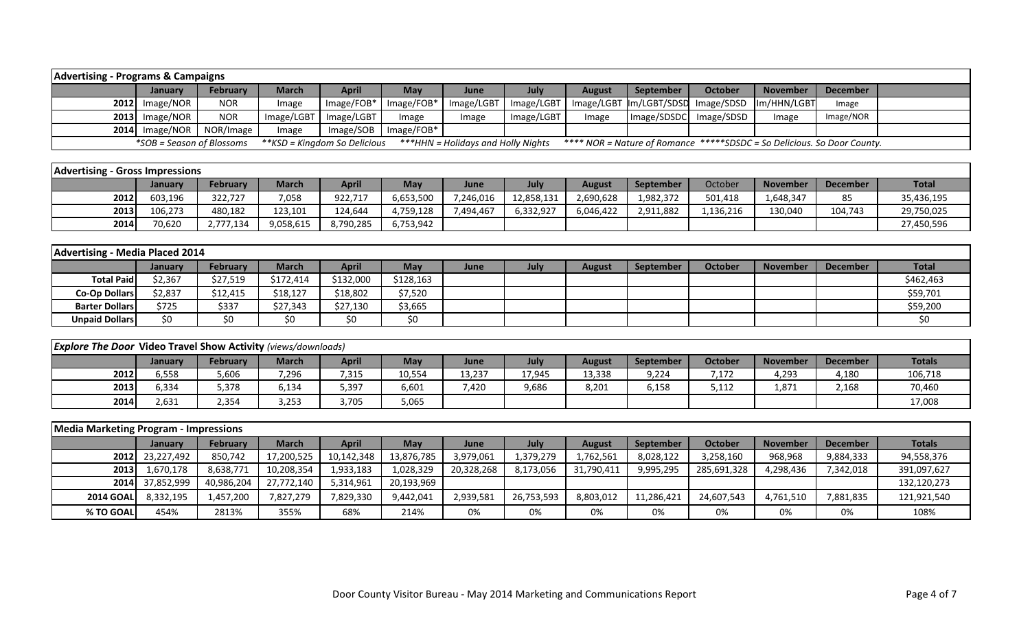| <b>Advertising - Programs &amp; Campaigns</b> |                           |                 |            |                              |              |                                    |            |               |                                                                         |                |                 |           |  |
|-----------------------------------------------|---------------------------|-----------------|------------|------------------------------|--------------|------------------------------------|------------|---------------|-------------------------------------------------------------------------|----------------|-----------------|-----------|--|
|                                               | Januarv                   | <b>February</b> | March      | <b>April</b>                 | <b>May</b>   | June                               | July       | <b>August</b> | September                                                               | <b>October</b> | <b>November</b> | December  |  |
|                                               | $2012$ Image/NOR          | <b>NOR</b>      | Image      | $Image/FOB*$                 | $Image/FOB*$ | Image/LGBT                         | Image/LGBT |               | Image/LGBT Im/LGBT/SDSD Image/SDSD                                      |                | Im/HHN/LGBT     | Image     |  |
|                                               | $2013$ Image/NOR          | <b>NOR</b>      | Image/LGBT | Image/LGBT                   | Image        | Image                              | Image/LGBT | Image         | Image/SDSDC                                                             | Image/SDSD     | Image           | Image/NOR |  |
|                                               | $2014$ Image/NOR          | NOR/Image       | Image      | Image/SOB                    | $Image/FOB*$ |                                    |            |               |                                                                         |                |                 |           |  |
|                                               | *SOB = Season of Blossoms |                 |            | **KSD = Kingdom So Delicious |              | ***HHN = Holidays and Holly Nights |            |               | **** NOR = Nature of Romance *****SDSDC = So Delicious. So Door County. |                |                 |           |  |

| <b>Advertising - Gross Impressions</b> |                |           |           |           |           |           |            |           |                  |           |                 |                 |              |
|----------------------------------------|----------------|-----------|-----------|-----------|-----------|-----------|------------|-----------|------------------|-----------|-----------------|-----------------|--------------|
|                                        | <b>January</b> | February  | March     | April     | May       | June      | July       | August    | <b>September</b> | October   | <b>November</b> | <b>December</b> | <b>Total</b> |
| 2012                                   | 603,196        | 322,727   | 7,058     | 922,717   | 6,653,500 | 7,246,016 | 12,858,131 | 2,690,628 | 1,982,372        | 501,418   | 1,648,347       | 85              | 35,436,195   |
| 2013                                   | 106.273        | 480,182   | 123,101   | 124.644   | 4,759,128 | 7.494.467 | 6,332,927  | 6.046.422 | 2,911,882        | 1,136,216 | 130,040         | 104,743         | 29,750,025   |
| 2014                                   | 70,620         | 2,777,134 | 9,058,615 | 8,790,285 | 6,753,942 |           |            |           |                  |           |                 |                 | 27,450,596   |

| Advertising - Media Placed 2014 |         |          |              |              |            |             |             |               |                  |         |                 |                 |           |
|---------------------------------|---------|----------|--------------|--------------|------------|-------------|-------------|---------------|------------------|---------|-----------------|-----------------|-----------|
|                                 | January | February | <b>March</b> | <b>April</b> | <b>May</b> | <b>June</b> | <b>July</b> | <b>August</b> | <b>September</b> | October | <b>November</b> | <b>December</b> | Total     |
| <b>Total Paid</b>               | \$2,367 | \$27,519 | \$172,414    | \$132,000    | \$128,163  |             |             |               |                  |         |                 |                 | \$462,463 |
| <b>Co-Op Dollars</b>            | \$2,837 | \$12,415 | \$18,127     | \$18,802     | \$7,520    |             |             |               |                  |         |                 |                 | \$59,701  |
| <b>Barter Dollars</b>           | \$725   | \$337    | \$27,343     | \$27,130     | \$3,665    |             |             |               |                  |         |                 |                 | \$59,200  |
| <b>Unpaid Dollars</b>           | \$0     | \$0      | \$0          | \$0          | \$0        |             |             |               |                  |         |                 |                 | S0        |

| <b>Explore The Door Video Travel Show Activity (views/downloads)</b> |         |                 |              |              |        |        |        |        |                  |                 |                 |                 |               |
|----------------------------------------------------------------------|---------|-----------------|--------------|--------------|--------|--------|--------|--------|------------------|-----------------|-----------------|-----------------|---------------|
|                                                                      | Januarv | <b>February</b> | <b>March</b> | <b>April</b> | May    | June   | July   | August | <b>September</b> | October         | <b>November</b> | <b>December</b> | <b>Totals</b> |
| 2012                                                                 | 6,558   | 5,606           | 296,'        | 315,'        | 10,554 | L3,237 | 17,945 | 13,338 | 9,224            | 7,172           | 4,293           | 4,180           | 106,718       |
| 2013                                                                 | 5.334   | 5,378           | 6,134        | 5,397        | 6,601  | ,420   | 9,686  | 8,201  | 6,158            | こ 1 1 つ<br>しょエム | 1,871           | 2,168           | 70,460        |
| 2014                                                                 | 2,631   | 2,354           | 3,253        | 3,705        | 5,065  |        |        |        |                  |                 |                 |                 | 17,008        |

| Media Marketing Program - Impressions |                 |                 |              |            |            |            |            |               |                  |                |                 |                 |               |
|---------------------------------------|-----------------|-----------------|--------------|------------|------------|------------|------------|---------------|------------------|----------------|-----------------|-----------------|---------------|
|                                       | <b>January</b>  | <b>February</b> | <b>March</b> | April      | May        | June       | July       | <b>August</b> | <b>September</b> | <b>October</b> | <b>November</b> | <b>December</b> | <b>Totals</b> |
|                                       | 2012 23,227,492 | 850,742         | 17,200,525   | 10,142,348 | 13,876,785 | 3,979,061  | 1,379,279  | 1,762,561     | 8,028,122        | 3,258,160      | 968,968         | 9,884,333       | 94,558,376    |
| <b>2013</b>                           | 1,670,178       | 8,638,771       | 10,208,354   | 1,933,183  | 1,028,329  | 20,328,268 | 8,173,056  | 31,790,411    | 9,995,295        | 285,691,328    | 4,298,436       | 7,342,018       | 391,097,627   |
|                                       | 2014 37,852,999 | 40,986,204      | 27,772,140   | 5,314,961  | 20,193,969 |            |            |               |                  |                |                 |                 | 132,120,273   |
| <b>2014 GOAL</b>                      | 8,332,195       | 1,457,200       | 7,827,279    | 7,829,330  | 9,442,041  | 2,939,581  | 26,753,593 | 8,803,012     | 11,286,421       | 24,607,543     | 4,761,510       | 7,881,835       | 121,921,540   |
| % TO GOAL                             | 454%            | 2813%           | 355%         | 68%        | 214%       | 0%         | 0%         | 0%            | 0%               | 0%             | 0%              | 0%              | 108%          |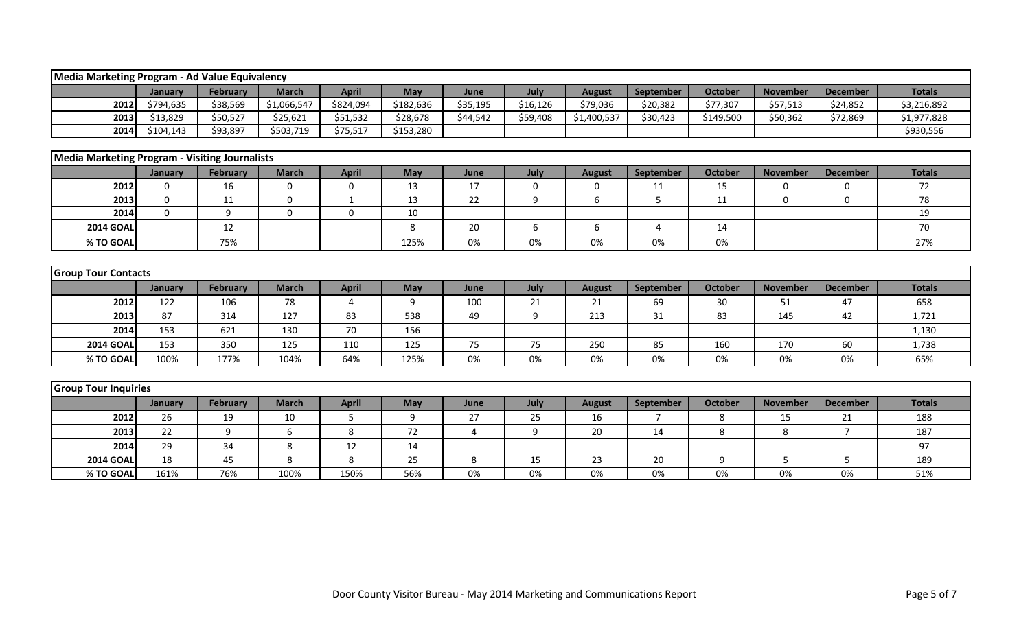| Media Marketing Program - Ad Value Equivalency |                |                 |              |              |           |          |                  |               |                |                |                 |                 |               |
|------------------------------------------------|----------------|-----------------|--------------|--------------|-----------|----------|------------------|---------------|----------------|----------------|-----------------|-----------------|---------------|
|                                                | <b>January</b> | <b>February</b> | <b>March</b> | <b>April</b> | May       | June     | July             | <b>August</b> | September      | <b>October</b> | <b>November</b> | <b>December</b> | <b>Totals</b> |
| 2012                                           | \$794,635      | \$38,569        | \$1,066,547  | \$824,094    | \$182,636 | \$35,195 | \$16,126         | \$79,036      | \$20,382       | \$77,307       | \$57,513        | \$24,852        | \$3,216,892   |
| 2013                                           | \$13,829       | \$50,527        | \$25,621     | \$51,532     | \$28,678  | \$44,542 | \$59,408         | \$1,400,537   | \$30,423       | \$149,500      | \$50,362        | \$72,869        | \$1,977,828   |
| 2014                                           | \$104,143      | \$93,897        | \$503,719    | \$75,517     | \$153,280 |          |                  |               |                |                |                 |                 | \$930,556     |
|                                                |                |                 |              |              |           |          |                  |               |                |                |                 |                 |               |
| Media Marketing Program - Visiting Journalists |                |                 |              |              |           |          |                  |               |                |                |                 |                 |               |
|                                                | January        | <b>February</b> | <b>March</b> | <b>April</b> | May       | June     | July             | <b>August</b> | September      | <b>October</b> | <b>November</b> | <b>December</b> | <b>Totals</b> |
| 2012                                           | $\mathbf 0$    | 16              | $\mathbf 0$  | $\mathbf 0$  | 13        | 17       | $\boldsymbol{0}$ | 0             | 11             | 15             | $\mathbf 0$     | 0               | 72            |
| 2013                                           | $\mathbf 0$    | 11              | $\mathbf 0$  | 1            | 13        | 22       | 9                | 6             | 5              | 11             | $\Omega$        | $\Omega$        | 78            |
| 2014                                           | $\Omega$       | 9               | $\Omega$     | $\mathbf 0$  | 10        |          |                  |               |                |                |                 |                 | 19            |
| <b>2014 GOAL</b>                               |                | 12              |              |              | 8         | 20       | 6                | 6             | 4              | 14             |                 |                 | 70            |
| % TO GOAL                                      |                | 75%             |              |              | 125%      | 0%       | 0%               | 0%            | 0%             | 0%             |                 |                 | 27%           |
|                                                |                |                 |              |              |           |          |                  |               |                |                |                 |                 |               |
| <b>Group Tour Contacts</b>                     |                |                 |              |              |           |          |                  |               |                |                |                 |                 |               |
|                                                | January        | February        | <b>March</b> | <b>April</b> | May       | June     | July             | <b>August</b> | September      | <b>October</b> | <b>November</b> | <b>December</b> | <b>Totals</b> |
| 2012                                           | 122            | 106             | 78           | 4            | 9         | 100      | 21               | 21            | 69             | 30             | 51              | 47              | 658           |
| 2013                                           | 87             | 314             | 127          | 83           | 538       | 49       | 9                | 213           | 31             | 83             | 145             | 42              | 1,721         |
| 2014                                           | 153            | 621             | 130          | 70           | 156       |          |                  |               |                |                |                 |                 | 1,130         |
| <b>2014 GOAL</b>                               | 153            | 350             | 125          | 110          | 125       | 75       | 75               | 250           | 85             | 160            | 170             | 60              | 1,738         |
| % TO GOAL                                      | 100%           | 177%            | 104%         | 64%          | 125%      | 0%       | 0%               | 0%            | 0%             | 0%             | 0%              | 0%              | 65%           |
|                                                |                |                 |              |              |           |          |                  |               |                |                |                 |                 |               |
| <b>Group Tour Inquiries</b>                    |                |                 |              |              |           |          |                  |               |                |                |                 |                 |               |
|                                                | January        | February        | <b>March</b> | <b>April</b> | May       | June     | July             | <b>August</b> | September      | <b>October</b> | <b>November</b> | <b>December</b> | <b>Totals</b> |
| 2012                                           | 26             | 19              | 10           | 5            | 9         | 27       | 25               | 16            | $\overline{7}$ | 8              | 15              | 21              | 188           |
| 2013                                           | 22             | 9               | 6            | 8            | 72        | 4        | 9                | 20            | 14             | 8              | 8               | $\overline{7}$  | 187           |
| 2014                                           | 29             | 34              | 8            | 12           | 14        |          |                  |               |                |                |                 |                 | 97            |
| <b>2014 GOAI</b>                               | 18             | 45              | 8            | 8            | 25        | 8        | 15               | 23            | 20             | 9              | 5               | 5               | 189           |
| % TO GOAL                                      | 161%           | 76%             | 100%         | 150%         | 56%       | 0%       | 0%               | 0%            | 0%             | 0%             | 0%              | 0%              | 51%           |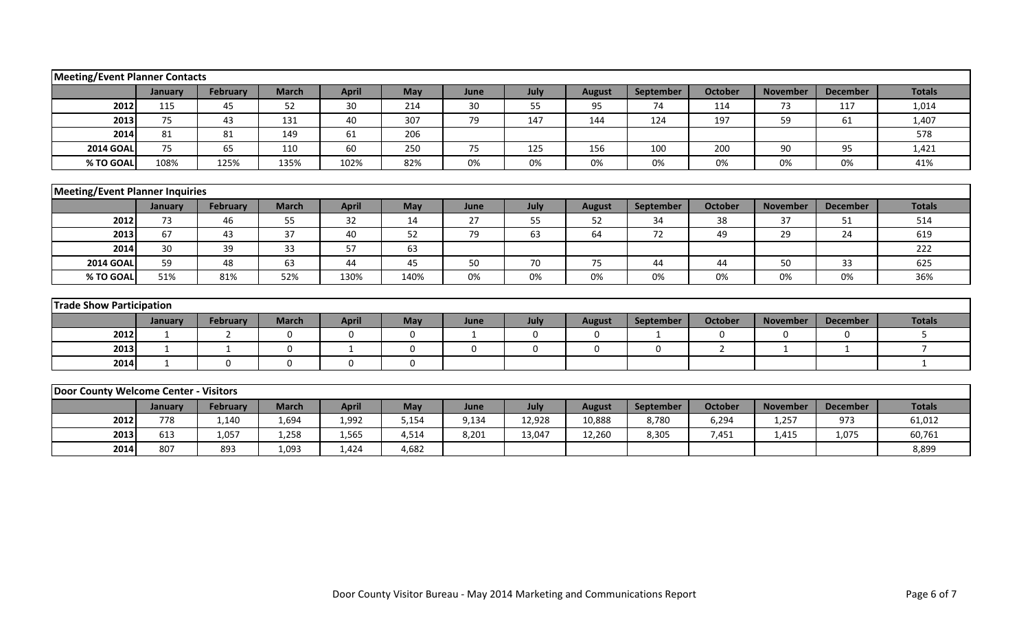| <b>Meeting/Event Planner Contacts</b>  |              |                 |              |              |                  |              |             |               |                  |                |                 |                 |                |
|----------------------------------------|--------------|-----------------|--------------|--------------|------------------|--------------|-------------|---------------|------------------|----------------|-----------------|-----------------|----------------|
|                                        | January      | <b>February</b> | <b>March</b> | <b>April</b> | May              | June         | July        | <b>August</b> | September        | <b>October</b> | <b>November</b> | <b>December</b> | <b>Totals</b>  |
| 2012                                   | 115          | 45              | 52           | 30           | 214              | 30           | 55          | 95            | 74               | 114            | 73              | 117             | 1,014          |
| 2013                                   | 75           | 43              | 131          | 40           | 307              | 79           | 147         | 144           | 124              | 197            | 59              | 61              | 1,407          |
| 2014                                   | 81           | 81              | 149          | 61           | 206              |              |             |               |                  |                |                 |                 | 578            |
| <b>2014 GOAL</b>                       | 75           | 65              | 110          | 60           | 250              | 75           | 125         | 156           | 100              | 200            | 90              | 95              | 1,421          |
| % TO GOAL                              | 108%         | 125%            | 135%         | 102%         | 82%              | 0%           | 0%          | 0%            | 0%               | 0%             | 0%              | 0%              | 41%            |
|                                        |              |                 |              |              |                  |              |             |               |                  |                |                 |                 |                |
| <b>Meeting/Event Planner Inquiries</b> |              |                 |              |              |                  |              |             |               |                  |                |                 |                 |                |
|                                        | January      | <b>February</b> | <b>March</b> | <b>April</b> | May              | June         | July        | <b>August</b> | September        | <b>October</b> | <b>November</b> | <b>December</b> | <b>Totals</b>  |
| 2012                                   | 73           | 46              | 55           | 32           | 14               | 27           | 55          | 52            | 34               | 38             | 37              | 51              | 514            |
| 2013                                   | 67           | 43              | 37           | 40           | 52               | 79           | 63          | 64            | 72               | 49             | 29              | 24              | 619            |
| 2014                                   | 30           | 39              | 33           | 57           | 63               |              |             |               |                  |                |                 |                 | 222            |
| <b>2014 GOAL</b>                       | 59           | 48              | 63           | 44           | 45               | 50           | 70          | 75            | 44               | 44             | 50              | 33              | 625            |
| % TO GOAL                              | 51%          | 81%             | 52%          | 130%         | 140%             | 0%           | 0%          | 0%            | 0%               | 0%             | 0%              | 0%              | 36%            |
|                                        |              |                 |              |              |                  |              |             |               |                  |                |                 |                 |                |
| <b>Trade Show Participation</b>        |              |                 |              |              |                  |              |             |               |                  |                |                 |                 |                |
|                                        | January      | <b>February</b> | <b>March</b> | <b>April</b> | May              | June         | July        | <b>August</b> | September        | <b>October</b> | <b>November</b> | <b>December</b> | <b>Totals</b>  |
| 2012                                   | $\mathbf{1}$ | 2               | $\Omega$     | $\mathbf 0$  | $\Omega$         | $\mathbf{1}$ | $\mathbf 0$ | $\mathbf 0$   | $\mathbf{1}$     | $\mathbf 0$    | $\mathbf{0}$    | $\mathbf{0}$    | 5              |
| 2013                                   | 1            | 1               | $\mathbf 0$  | $\mathbf{1}$ | 0                | 0            | $\mathbf 0$ | $\mathbf 0$   | $\mathbf 0$      | $\overline{2}$ | 1               | $\mathbf{1}$    | $\overline{7}$ |
| 2014                                   | 1            | $\mathbf 0$     | 0            | $\mathbf 0$  | $\boldsymbol{0}$ |              |             |               |                  |                |                 |                 | $\mathbf{1}$   |
|                                        |              |                 |              |              |                  |              |             |               |                  |                |                 |                 |                |
| Door County Welcome Center - Visitors  |              |                 |              |              |                  |              |             |               |                  |                |                 |                 |                |
|                                        | January      | <b>February</b> | <b>March</b> | <b>April</b> | May              | June         | July        | <b>August</b> | <b>September</b> | <b>October</b> | <b>November</b> | <b>December</b> | <b>Totals</b>  |
| 2012                                   | 778          | 1,140           | 1,694        | 1,992        | 5,154            | 9,134        | 12,928      | 10,888        | 8,780            | 6,294          | 1,257           | 973             | 61,012         |
| 2013                                   | 613          | 1,057           | 1,258        | 1,565        | 4,514            | 8,201        | 13,047      | 12,260        | 8,305            | 7,451          | 1,415           | 1,075           | 60,761         |
| 2014                                   | 807          | 893             | 1,093        | 1,424        | 4,682            |              |             |               |                  |                |                 |                 | 8,899          |